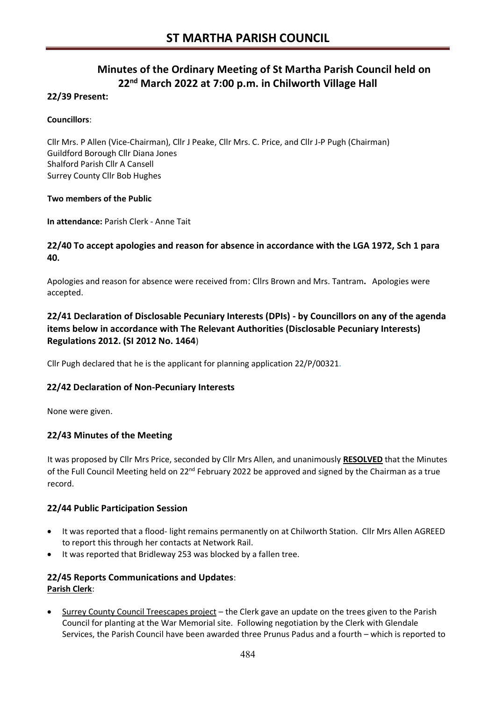# **Minutes of the Ordinary Meeting of St Martha Parish Council held on 22nd March 2022 at 7:00 p.m. in Chilworth Village Hall**

# **22/39 Present:**

# **Councillors**:

Cllr Mrs. P Allen (Vice-Chairman), Cllr J Peake, Cllr Mrs. C. Price, and Cllr J-P Pugh (Chairman) Guildford Borough Cllr Diana Jones Shalford Parish Cllr A Cansell Surrey County Cllr Bob Hughes

#### **Two members of the Public**

**In attendance:** Parish Clerk - Anne Tait

# **22/40 To accept apologies and reason for absence in accordance with the LGA 1972, Sch 1 para 40.**

Apologies and reason for absence were received from: Cllrs Brown and Mrs. Tantram**.** Apologies were accepted.

# **22/41 Declaration of Disclosable Pecuniary Interests (DPIs) - by Councillors on any of the agenda items below in accordance with The Relevant Authorities (Disclosable Pecuniary Interests) Regulations 2012. (SI 2012 No. 1464**)

Cllr Pugh declared that he is the applicant for planning application 22/P/00321.

# **22/42 Declaration of Non-Pecuniary Interests**

None were given.

# **22/43 Minutes of the Meeting**

It was proposed by Cllr Mrs Price, seconded by Cllr Mrs Allen, and unanimously **RESOLVED** that the Minutes of the Full Council Meeting held on  $22^{nd}$  February 2022 be approved and signed by the Chairman as a true record.

# **22/44 Public Participation Session**

- It was reported that a flood- light remains permanently on at Chilworth Station. Cllr Mrs Allen AGREED to report this through her contacts at Network Rail.
- It was reported that Bridleway 253 was blocked by a fallen tree.

# **22/45 Reports Communications and Updates**: **Parish Clerk**:

• Surrey County Council Treescapes project – the Clerk gave an update on the trees given to the Parish Council for planting at the War Memorial site. Following negotiation by the Clerk with Glendale Services, the Parish Council have been awarded three Prunus Padus and a fourth – which is reported to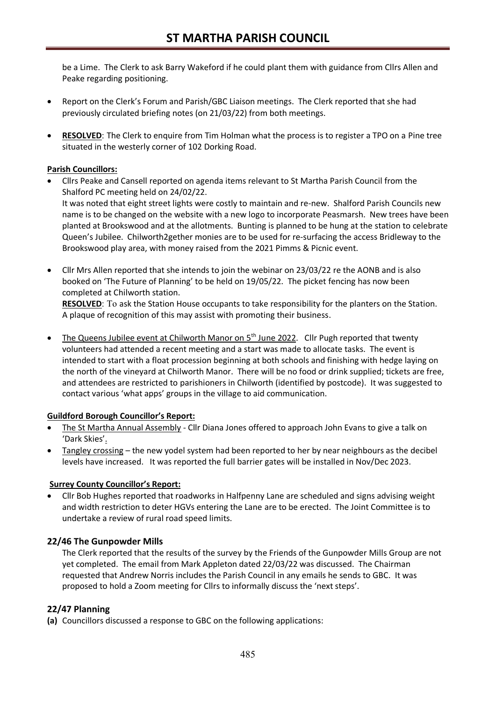be a Lime. The Clerk to ask Barry Wakeford if he could plant them with guidance from Cllrs Allen and Peake regarding positioning.

- Report on the Clerk's Forum and Parish/GBC Liaison meetings. The Clerk reported that she had previously circulated briefing notes (on 21/03/22) from both meetings.
- **RESOLVED**: The Clerk to enquire from Tim Holman what the process is to register a TPO on a Pine tree situated in the westerly corner of 102 Dorking Road.

#### **Parish Councillors:**

• Cllrs Peake and Cansell reported on agenda items relevant to St Martha Parish Council from the Shalford PC meeting held on 24/02/22.

It was noted that eight street lights were costly to maintain and re-new. Shalford Parish Councils new name is to be changed on the website with a new logo to incorporate Peasmarsh. New trees have been planted at Brookswood and at the allotments. Bunting is planned to be hung at the station to celebrate Queen's Jubilee. Chilworth2gether monies are to be used for re-surfacing the access Bridleway to the Brookswood play area, with money raised from the 2021 Pimms & Picnic event.

• Cllr Mrs Allen reported that she intends to join the webinar on 23/03/22 re the AONB and is also booked on 'The Future of Planning' to be held on 19/05/22. The picket fencing has now been completed at Chilworth station.

**RESOLVED**: To ask the Station House occupants to take responsibility for the planters on the Station. A plaque of recognition of this may assist with promoting their business.

The Queens Jubilee event at Chilworth Manor on  $5<sup>th</sup>$  June 2022. Cllr Pugh reported that twenty volunteers had attended a recent meeting and a start was made to allocate tasks. The event is intended to start with a float procession beginning at both schools and finishing with hedge laying on the north of the vineyard at Chilworth Manor. There will be no food or drink supplied; tickets are free, and attendees are restricted to parishioners in Chilworth (identified by postcode). It was suggested to contact various 'what apps' groups in the village to aid communication.

#### **Guildford Borough Councillor's Report:**

- The St Martha Annual Assembly Cllr Diana Jones offered to approach John Evans to give a talk on 'Dark Skies'.
- Tangley crossing the new yodel system had been reported to her by near neighbours as the decibel levels have increased. It was reported the full barrier gates will be installed in Nov/Dec 2023.

#### **Surrey County Councillor's Report:**

• Cllr Bob Hughes reported that roadworks in Halfpenny Lane are scheduled and signs advising weight and width restriction to deter HGVs entering the Lane are to be erected. The Joint Committee is to undertake a review of rural road speed limits.

#### **22/46 The Gunpowder Mills**

The Clerk reported that the results of the survey by the Friends of the Gunpowder Mills Group are not yet completed. The email from Mark Appleton dated 22/03/22 was discussed. The Chairman requested that Andrew Norris includes the Parish Council in any emails he sends to GBC. It was proposed to hold a Zoom meeting for Cllrs to informally discuss the 'next steps'.

#### **22/47 Planning**

**(a)** Councillors discussed a response to GBC on the following applications: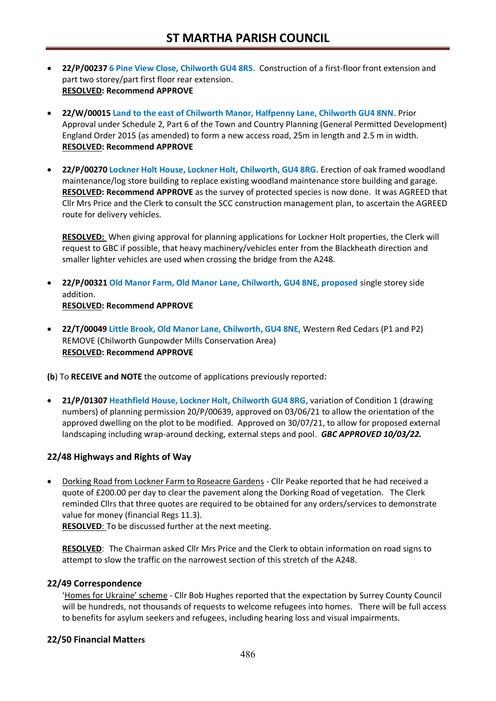- **22/P/00237 6 Pine View Close, Chilworth GU4 8RS**. Construction of a first-floor front extension and part two storey/part first floor rear extension. **RESOLVED: Recommend APPROVE**
- **22/W/00015 Land to the east of Chilworth Manor, Halfpenny Lane, Chilworth GU4 8NN**. Prior Approval under Schedule 2, Part 6 of the Town and Country Planning (General Permitted Development) England Order 2015 (as amended) to form a new access road, 25m in length and 2.5 m in width. **RESOLVED: Recommend APPROVE**
- **22/P/00270 Lockner Holt House, Lockner Holt, Chilworth, GU4 8RG.** Erection of oak framed woodland maintenance/log store building to replace existing woodland maintenance store building and garage. **RESOLVED: Recommend APPROVE** as the survey of protected species is now done. It was AGREED that Cllr Mrs Price and the Clerk to consult the SCC construction management plan, to ascertain the AGREED route for delivery vehicles.

**RESOLVED:** When giving approval for planning applications for Lockner Holt properties, the Clerk will request to GBC if possible, that heavy machinery/vehicles enter from the Blackheath direction and smaller lighter vehicles are used when crossing the bridge from the A248.

- **22/P/00321 Old Manor Farm, Old Manor Lane, Chilworth, GU4 8NE, proposed** single storey side addition. **RESOLVED: Recommend APPROVE**
- **22/T/00049 Little Brook, Old Manor Lane, Chilworth, GU4 8NE,** Western Red Cedars (P1 and P2) REMOVE (Chilworth Gunpowder Mills Conservation Area) **RESOLVED: Recommend APPROVE**

**(b**) To **RECEIVE and NOTE** the outcome of applications previously reported:

• **21/P/01307 Heathfield House, Lockner Holt, Chilworth GU4 8RG**, variation of Condition 1 (drawing numbers) of planning permission 20/P/00639, approved on 03/06/21 to allow the orientation of the approved dwelling on the plot to be modified. Approved on 30/07/21, to allow for proposed external landscaping including wrap-around decking, external steps and pool. *GBC APPROVED 10/03/22.*

# **22/48 Highways and Rights of Way**

• Dorking Road from Lockner Farm to Roseacre Gardens - Cllr Peake reported that he had received a quote of £200.00 per day to clear the pavement along the Dorking Road of vegetation. The Clerk reminded Cllrs that three quotes are required to be obtained for any orders/services to demonstrate value for money (financial Regs 11.3).

**RESOLVED**: To be discussed further at the next meeting.

**RESOLVED**: The Chairman asked Cllr Mrs Price and the Clerk to obtain information on road signs to attempt to slow the traffic on the narrowest section of this stretch of the A248.

#### **22/49 Correspondence**

'Homes for Ukraine' scheme - Cllr Bob Hughes reported that the expectation by Surrey County Council will be hundreds, not thousands of requests to welcome refugees into homes. There will be full access to benefits for asylum seekers and refugees, including hearing loss and visual impairments.

#### **22/50 Financial Matters**